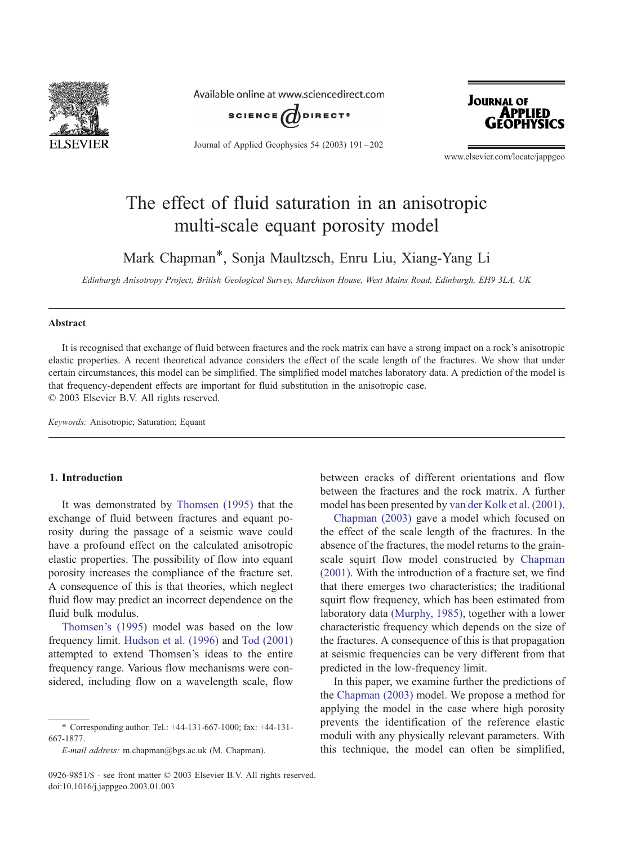

Available online at www.sciencedirect.com



Journal of Applied Geophysics 54 (2003) 191 – 202



www.elsevier.com/locate/jappgeo

# The effect of fluid saturation in an anisotropic multi-scale equant porosity model

Mark Chapman\*, Sonja Maultzsch, Enru Liu, Xiang-Yang Li

Edinburgh Anisotropy Project, British Geological Survey, Murchison House, West Mains Road, Edinburgh, EH9 3LA, UK

#### Abstract

It is recognised that exchange of fluid between fractures and the rock matrix can have a strong impact on a rock's anisotropic elastic properties. A recent theoretical advance considers the effect of the scale length of the fractures. We show that under certain circumstances, this model can be simplified. The simplified model matches laboratory data. A prediction of the model is that frequency-dependent effects are important for fluid substitution in the anisotropic case.  $© 2003 Elsevier B.V. All rights reserved.$ 

Keywords: Anisotropic; Saturation; Equant

## 1. Introduction

It was demonstrated by [Thomsen \(1995\)](#page-11-0) that the exchange of fluid between fractures and equant porosity during the passage of a seismic wave could have a profound effect on the calculated anisotropic elastic properties. The possibility of flow into equant porosity increases the compliance of the fracture set. A consequence of this is that theories, which neglect fluid flow may predict an incorrect dependence on the fluid bulk modulus.

[Thomsen's \(1995\)](#page-11-0) model was based on the low frequency limit. [Hudson et al. \(1996\)](#page-11-0) and [Tod \(2001\)](#page-11-0) attempted to extend Thomsen's ideas to the entire frequency range. Various flow mechanisms were considered, including flow on a wavelength scale, flow

between cracks of different orientations and flow between the fractures and the rock matrix. A further model has been presented by [van der Kolk et al. \(2001\).](#page-11-0)

[Chapman \(2003\)](#page-11-0) gave a model which focused on the effect of the scale length of the fractures. In the absence of the fractures, the model returns to the grainscale squirt flow model constructed by [Chapman](#page-11-0) (2001). With the introduction of a fracture set, we find that there emerges two characteristics; the traditional squirt flow frequency, which has been estimated from laboratory data [\(Murphy, 1985\),](#page-11-0) together with a lower characteristic frequency which depends on the size of the fractures. A consequence of this is that propagation at seismic frequencies can be very different from that predicted in the low-frequency limit.

In this paper, we examine further the predictions of the [Chapman \(2003\)](#page-11-0) model. We propose a method for applying the model in the case where high porosity prevents the identification of the reference elastic moduli with any physically relevant parameters. With this technique, the model can often be simplified,

<sup>\*</sup> Corresponding author. Tel.: +44-131-667-1000; fax: +44-131- 667-1877.

E-mail address: m.chapman@bgs.ac.uk (M. Chapman).

<sup>0926-9851/\$ -</sup> see front matter © 2003 Elsevier B.V. All rights reserved. doi:10.1016/j.jappgeo.2003.01.003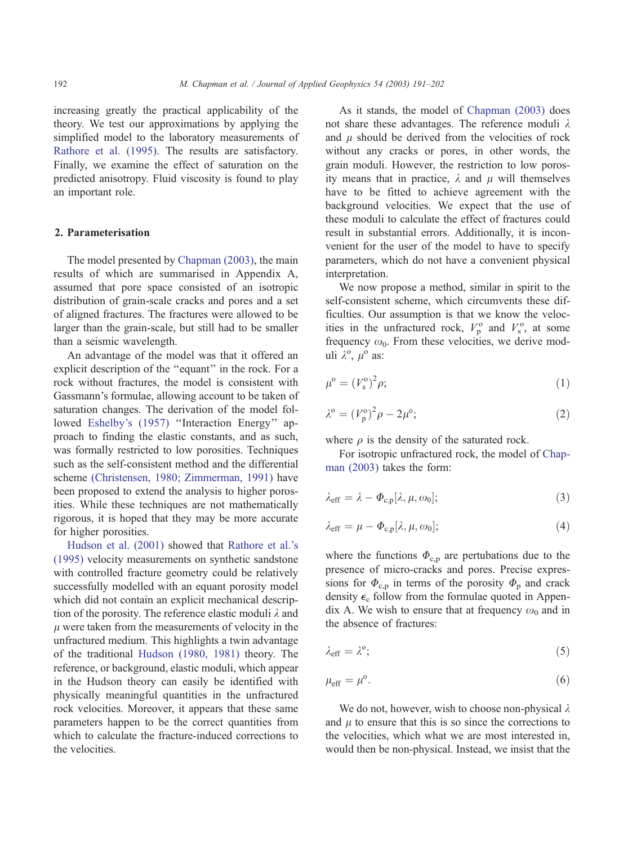increasing greatly the practical applicability of the theory. We test our approximations by applying the simplified model to the laboratory measurements of [Rathore et al. \(1995\).](#page-11-0) The results are satisfactory. Finally, we examine the effect of saturation on the predicted anisotropy. Fluid viscosity is found to play an important role.

## 2. Parameterisation

The model presented by [Chapman \(2003\),](#page-11-0) the main results of which are summarised in Appendix A, assumed that pore space consisted of an isotropic distribution of grain-scale cracks and pores and a set of aligned fractures. The fractures were allowed to be larger than the grain-scale, but still had to be smaller than a seismic wavelength.

An advantage of the model was that it offered an explicit description of the ''equant'' in the rock. For a rock without fractures, the model is consistent with Gassmann's formulae, allowing account to be taken of saturation changes. The derivation of the model fol-lowed [Eshelby's \(1957\)](#page-11-0) "Interaction Energy" approach to finding the elastic constants, and as such, was formally restricted to low porosities. Techniques such as the self-consistent method and the differential scheme [\(Christensen, 1980; Zimmerman, 1991\)](#page-11-0) have been proposed to extend the analysis to higher porosities. While these techniques are not mathematically rigorous, it is hoped that they may be more accurate for higher porosities.

[Hudson et al. \(2001\)](#page-11-0) showed that [Rathore et al.'s](#page-11-0) (1995) velocity measurements on synthetic sandstone with controlled fracture geometry could be relatively successfully modelled with an equant porosity model which did not contain an explicit mechanical description of the porosity. The reference elastic moduli  $\lambda$  and  $\mu$  were taken from the measurements of velocity in the unfractured medium. This highlights a twin advantage of the traditional [Hudson \(1980, 1981\)](#page-11-0) theory. The reference, or background, elastic moduli, which appear in the Hudson theory can easily be identified with physically meaningful quantities in the unfractured rock velocities. Moreover, it appears that these same parameters happen to be the correct quantities from which to calculate the fracture-induced corrections to the velocities.

As it stands, the model of [Chapman \(2003\)](#page-11-0) does not share these advantages. The reference moduli  $\lambda$ and  $\mu$  should be derived from the velocities of rock without any cracks or pores, in other words, the grain moduli. However, the restriction to low porosity means that in practice,  $\lambda$  and  $\mu$  will themselves have to be fitted to achieve agreement with the background velocities. We expect that the use of these moduli to calculate the effect of fractures could result in substantial errors. Additionally, it is inconvenient for the user of the model to have to specify parameters, which do not have a convenient physical interpretation.

We now propose a method, similar in spirit to the self-consistent scheme, which circumvents these difficulties. Our assumption is that we know the velocities in the unfractured rock,  $V_p^{\text{o}}$  and  $V_s^{\text{o}}$ , at some frequency  $\omega_0$ . From these velocities, we derive moduli  $\lambda^{\circ}$ ,  $\mu^{\circ}$  as:

$$
\mu^{\text{o}} = (V_{\text{s}}^{\text{o}})^2 \rho; \tag{1}
$$

$$
\lambda^{\circ} = (V_{\mathbf{p}}^{\circ})^2 \rho - 2\mu^{\circ};\tag{2}
$$

where  $\rho$  is the density of the saturated rock.

For isotropic unfractured rock, the model of [Chap](#page-11-0)man (2003) takes the form:

$$
\lambda_{\text{eff}} = \lambda - \Phi_{\text{c},\text{p}}[\lambda,\mu,\omega_0];\tag{3}
$$

$$
\lambda_{\text{eff}} = \mu - \Phi_{c,p}[\lambda, \mu, \omega_0];\tag{4}
$$

where the functions  $\Phi_{c,p}$  are pertubations due to the presence of micro-cracks and pores. Precise expressions for  $\Phi_{c,p}$  in terms of the porosity  $\Phi_p$  and crack density  $\epsilon_c$  follow from the formulae quoted in Appendix A. We wish to ensure that at frequency  $\omega_0$  and in the absence of fractures:

$$
\lambda_{\rm eff} = \lambda^{\rm o};\tag{5}
$$

$$
\mu_{\rm eff} = \mu^{\rm o}.\tag{6}
$$

We do not, however, wish to choose non-physical  $\lambda$ and  $\mu$  to ensure that this is so since the corrections to the velocities, which what we are most interested in, would then be non-physical. Instead, we insist that the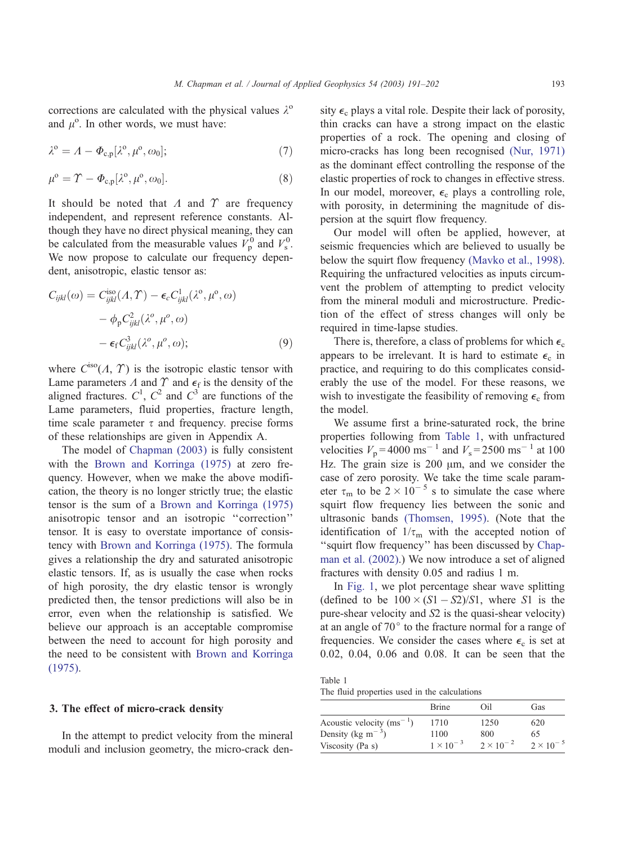<span id="page-2-0"></span>corrections are calculated with the physical values  $\lambda^{\circ}$ and  $\mu^{\circ}$ . In other words, we must have:

$$
\lambda^{\circ} = \Lambda - \Phi_{c,p}[\lambda^{\circ}, \mu^{\circ}, \omega_0];\tag{7}
$$

$$
\mu^{\text{o}} = \Upsilon - \Phi_{\text{c},\text{p}}[\lambda^{\text{o}}, \mu^{\text{o}}, \omega_0]. \tag{8}
$$

It should be noted that  $\Lambda$  and  $\Upsilon$  are frequency independent, and represent reference constants. Although they have no direct physical meaning, they can be calculated from the measurable values  $V_p^0$  and  $V_s^0$ . We now propose to calculate our frequency dependent, anisotropic, elastic tensor as:

$$
C_{ijkl}(\omega) = C_{ijkl}^{iso}(\Lambda, \Upsilon) - \epsilon_c C_{ijkl}^1(\lambda^0, \mu^0, \omega)
$$

$$
- \phi_p C_{ijkl}^2(\lambda^0, \mu^0, \omega)
$$

$$
- \epsilon_f C_{ijkl}^3(\lambda^0, \mu^0, \omega); \tag{9}
$$

where  $C^{iso}(\Lambda, \Upsilon)$  is the isotropic elastic tensor with Lame parameters  $\Lambda$  and  $\Upsilon$  and  $\epsilon_f$  is the density of the aligned fractures.  $C^1$ ,  $C^2$  and  $C^3$  are functions of the Lame parameters, fluid properties, fracture length, time scale parameter  $\tau$  and frequency. precise forms of these relationships are given in Appendix A.

The model of [Chapman \(2003\)](#page-11-0) is fully consistent with the [Brown and Korringa \(1975\)](#page-10-0) at zero frequency. However, when we make the above modification, the theory is no longer strictly true; the elastic tensor is the sum of a [Brown and Korringa \(1975\)](#page-10-0) anisotropic tensor and an isotropic ''correction'' tensor. It is easy to overstate importance of consistency with [Brown and Korringa \(1975\).](#page-10-0) The formula gives a relationship the dry and saturated anisotropic elastic tensors. If, as is usually the case when rocks of high porosity, the dry elastic tensor is wrongly predicted then, the tensor predictions will also be in error, even when the relationship is satisfied. We believe our approach is an acceptable compromise between the need to account for high porosity and the need to be consistent with [Brown and Korringa](#page-10-0) (1975).

## 3. The effect of micro-crack density

In the attempt to predict velocity from the mineral moduli and inclusion geometry, the micro-crack density  $\epsilon_c$  plays a vital role. Despite their lack of porosity, thin cracks can have a strong impact on the elastic properties of a rock. The opening and closing of micro-cracks has long been recognised [\(Nur, 1971\)](#page-11-0) as the dominant effect controlling the response of the elastic properties of rock to changes in effective stress. In our model, moreover,  $\epsilon_c$  plays a controlling role, with porosity, in determining the magnitude of dispersion at the squirt flow frequency.

Our model will often be applied, however, at seismic frequencies which are believed to usually be below the squirt flow frequency [\(Mavko et al., 1998\).](#page-11-0) Requiring the unfractured velocities as inputs circumvent the problem of attempting to predict velocity from the mineral moduli and microstructure. Prediction of the effect of stress changes will only be required in time-lapse studies.

There is, therefore, a class of problems for which  $\epsilon_c$ appears to be irrelevant. It is hard to estimate  $\epsilon_c$  in practice, and requiring to do this complicates considerably the use of the model. For these reasons, we wish to investigate the feasibility of removing  $\epsilon_c$  from the model.

We assume first a brine-saturated rock, the brine properties following from Table 1, with unfractured velocities  $V_p = 4000 \text{ ms}^{-1}$  and  $V_s = 2500 \text{ ms}^{-1}$  at 100 Hz. The grain size is  $200 \mu m$ , and we consider the case of zero porosity. We take the time scale parameter  $\tau_{\rm m}$  to be  $2 \times 10^{-5}$  s to simulate the case where squirt flow frequency lies between the sonic and ultrasonic bands [\(Thomsen, 1995\).](#page-11-0) (Note that the identification of  $1/\tau_m$  with the accepted notion of "squirt flow frequency" has been discussed by [Chap](#page-11-0)man et al. (2002).) We now introduce a set of aligned fractures with density 0.05 and radius 1 m.

In [Fig. 1,](#page-3-0) we plot percentage shear wave splitting (defined to be  $100 \times (S1 - S2)/S1$ , where S1 is the pure-shear velocity and S2 is the quasi-shear velocity) at an angle of  $70^{\circ}$  to the fracture normal for a range of frequencies. We consider the cases where  $\epsilon_c$  is set at 0.02, 0.04, 0.06 and 0.08. It can be seen that the

Table 1 The fluid properties used in the calculations

|                                            | <b>Brine</b>       | Oil                | Gas                |
|--------------------------------------------|--------------------|--------------------|--------------------|
| Acoustic velocity $(ms^{-1})$              | 1710               | 1250               | 620                |
| Density (kg m <sup><math>-3</math></sup> ) | 1100               | 800                | 65                 |
| Viscosity (Pa s)                           | $1 \times 10^{-3}$ | $2 \times 10^{-2}$ | $2 \times 10^{-5}$ |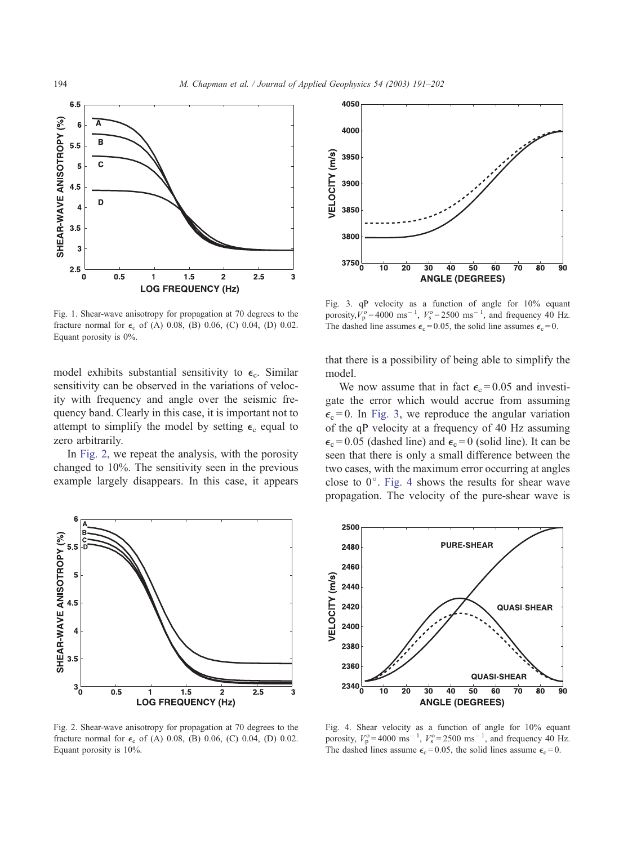<span id="page-3-0"></span>

Fig. 1. Shear-wave anisotropy for propagation at 70 degrees to the fracture normal for  $\epsilon_c$  of (A) 0.08, (B) 0.06, (C) 0.04, (D) 0.02. Equant porosity is 0%.

model exhibits substantial sensitivity to  $\epsilon_c$ . Similar sensitivity can be observed in the variations of velocity with frequency and angle over the seismic frequency band. Clearly in this case, it is important not to attempt to simplify the model by setting  $\epsilon_c$  equal to zero arbitrarily.

In Fig. 2, we repeat the analysis, with the porosity changed to 10%. The sensitivity seen in the previous example largely disappears. In this case, it appears



Fig. 2. Shear-wave anisotropy for propagation at 70 degrees to the fracture normal for  $\epsilon_c$  of (A) 0.08, (B) 0.06, (C) 0.04, (D) 0.02. Equant porosity is 10%.



Fig. 3. qP velocity as a function of angle for 10% equant porosity,  $V_p^{\circ} = 4000 \text{ ms}^{-1}$ ,  $V_s^{\circ} = 2500 \text{ ms}^{-1}$ , and frequency 40 Hz. The dashed line assumes  $\epsilon_c = 0.05$ , the solid line assumes  $\epsilon_c = 0$ .

that there is a possibility of being able to simplify the model.

We now assume that in fact  $\epsilon_c = 0.05$  and investigate the error which would accrue from assuming  $\epsilon_c = 0$ . In Fig. 3, we reproduce the angular variation of the qP velocity at a frequency of 40 Hz assuming  $\epsilon_c$  = 0.05 (dashed line) and  $\epsilon_c$  = 0 (solid line). It can be seen that there is only a small difference between the two cases, with the maximum error occurring at angles close to  $0^\circ$ . Fig. 4 shows the results for shear wave propagation. The velocity of the pure-shear wave is



Fig. 4. Shear velocity as a function of angle for 10% equant porosity,  $V_p^{\text{o}} = 4000 \text{ ms}^{-1}$ ,  $V_s^{\text{o}} = 2500 \text{ ms}^{-1}$ , and frequency 40 Hz. The dashed lines assume  $\epsilon_c = 0.05$ , the solid lines assume  $\epsilon_c = 0$ .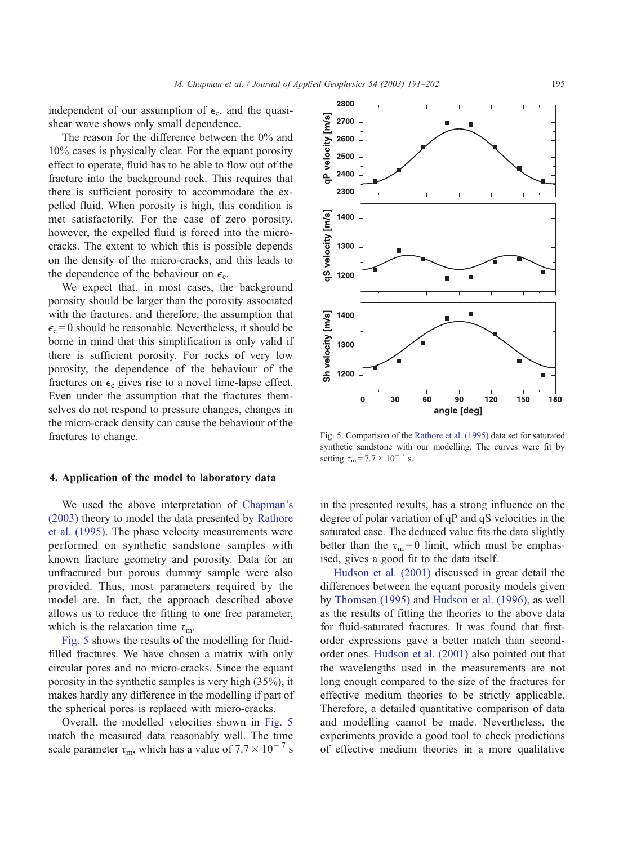independent of our assumption of  $\epsilon_c$ , and the quasishear wave shows only small dependence.

The reason for the difference between the 0% and 10% cases is physically clear. For the equant porosity effect to operate, fluid has to be able to flow out of the fracture into the background rock. This requires that there is sufficient porosity to accommodate the expelled fluid. When porosity is high, this condition is met satisfactorily. For the case of zero porosity, however, the expelled fluid is forced into the microcracks. The extent to which this is possible depends on the density of the micro-cracks, and this leads to the dependence of the behaviour on  $\epsilon_c$ .

We expect that, in most cases, the background porosity should be larger than the porosity associated with the fractures, and therefore, the assumption that  $\epsilon_c$  = 0 should be reasonable. Nevertheless, it should be borne in mind that this simplification is only valid if there is sufficient porosity. For rocks of very low porosity, the dependence of the behaviour of the fractures on  $\epsilon_c$  gives rise to a novel time-lapse effect. Even under the assumption that the fractures themselves do not respond to pressure changes, changes in the micro-crack density can cause the behaviour of the fractures to change.

#### 4. Application of the model to laboratory data

We used the above interpretation of [Chapman's](#page-11-0) (2003) theory to model the data presented by [Rathore](#page-11-0) et al. (1995). The phase velocity measurements were performed on synthetic sandstone samples with known fracture geometry and porosity. Data for an unfractured but porous dummy sample were also provided. Thus, most parameters required by the model are. In fact, the approach described above allows us to reduce the fitting to one free parameter, which is the relaxation time  $\tau_{\rm m}$ .

Fig. 5 shows the results of the modelling for fluidfilled fractures. We have chosen a matrix with only circular pores and no micro-cracks. Since the equant porosity in the synthetic samples is very high (35%), it makes hardly any difference in the modelling if part of the spherical pores is replaced with micro-cracks.

Overall, the modelled velocities shown in Fig. 5 match the measured data reasonably well. The time scale parameter  $\tau_{\rm m}$ , which has a value of  $7.7 \times 10^{-7}$  s



in the presented results, has a strong influence on the degree of polar variation of qP and qS velocities in the saturated case. The deduced value fits the data slightly better than the  $\tau_m = 0$  limit, which must be emphasised, gives a good fit to the data itself.

[Hudson et al. \(2001\)](#page-11-0) discussed in great detail the differences between the equant porosity models given by [Thomsen \(1995\)](#page-11-0) and [Hudson et al. \(1996\),](#page-11-0) as well as the results of fitting the theories to the above data for fluid-saturated fractures. It was found that firstorder expressions gave a better match than secondorder ones. [Hudson et al. \(2001\)](#page-11-0) also pointed out that the wavelengths used in the measurements are not long enough compared to the size of the fractures for effective medium theories to be strictly applicable. Therefore, a detailed quantitative comparison of data and modelling cannot be made. Nevertheless, the experiments provide a good tool to check predictions of effective medium theories in a more qualitative

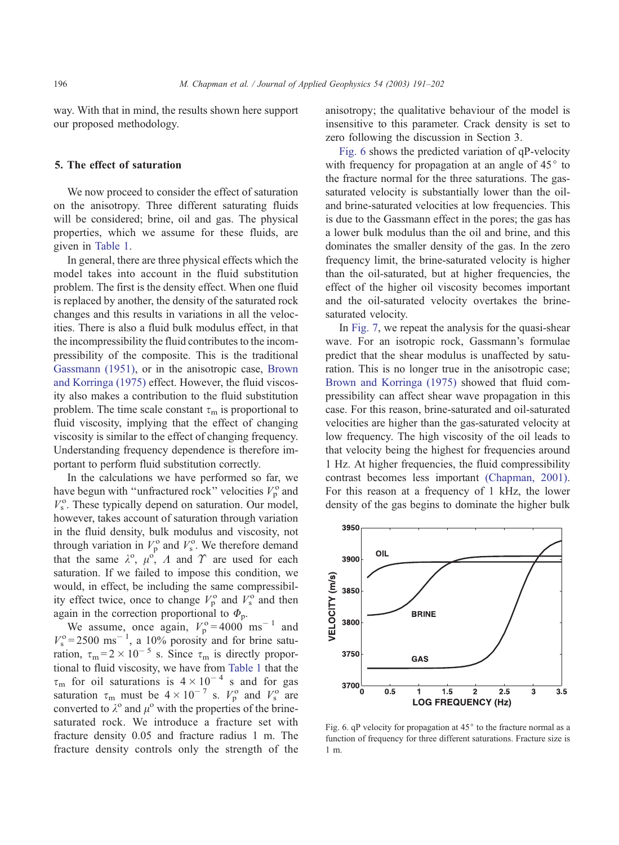way. With that in mind, the results shown here support our proposed methodology.

#### 5. The effect of saturation

We now proceed to consider the effect of saturation on the anisotropy. Three different saturating fluids will be considered; brine, oil and gas. The physical properties, which we assume for these fluids, are given in [Table 1.](#page-2-0)

In general, there are three physical effects which the model takes into account in the fluid substitution problem. The first is the density effect. When one fluid is replaced by another, the density of the saturated rock changes and this results in variations in all the velocities. There is also a fluid bulk modulus effect, in that the incompressibility the fluid contributes to the incompressibility of the composite. This is the traditional [Gassmann \(1951\),](#page-11-0) or in the anisotropic case, [Brown](#page-10-0) and Korringa (1975) effect. However, the fluid viscosity also makes a contribution to the fluid substitution problem. The time scale constant  $\tau_{\rm m}$  is proportional to fluid viscosity, implying that the effect of changing viscosity is similar to the effect of changing frequency. Understanding frequency dependence is therefore important to perform fluid substitution correctly.

In the calculations we have performed so far, we have begun with "unfractured rock" velocities  $V_p^{\circ}$  and  $V_s^{\text{o}}$ . These typically depend on saturation. Our model, however, takes account of saturation through variation in the fluid density, bulk modulus and viscosity, not through variation in  $V_p^{\text{o}}$  and  $V_s^{\text{o}}$ . We therefore demand that the same  $\lambda^0$ ,  $\mu^0$ , A and  $\gamma$  are used for each saturation. If we failed to impose this condition, we would, in effect, be including the same compressibility effect twice, once to change  $V_p^{\text{o}}$  and  $V_s^{\text{o}}$  and then again in the correction proportional to  $\Phi_{\rm p}$ .

We assume, once again,  $V_p^{\circ} = 4000$  ms<sup>-1</sup> and  $V_s^o = 2500 \text{ ms}^{-1}$ , a 10% porosity and for brine saturation,  $\tau_m = 2 \times 10^{-5}$  s. Since  $\tau_m$  is directly proportional to fluid viscosity, we have from [Table 1](#page-2-0) that the  $\tau_{\rm m}$  for oil saturations is  $4 \times 10^{-4}$  s and for gas saturation  $\tau_{\rm m}$  must be  $4 \times 10^{-7}$  s.  $V_{\rm p}^{\rm o}$  and  $V_{\rm s}^{\rm o}$  are converted to  $\lambda^{\circ}$  and  $\mu^{\circ}$  with the properties of the brinesaturated rock. We introduce a fracture set with fracture density 0.05 and fracture radius 1 m. The fracture density controls only the strength of the anisotropy; the qualitative behaviour of the model is insensitive to this parameter. Crack density is set to zero following the discussion in Section 3.

Fig. 6 shows the predicted variation of qP-velocity with frequency for propagation at an angle of  $45^{\circ}$  to the fracture normal for the three saturations. The gassaturated velocity is substantially lower than the oiland brine-saturated velocities at low frequencies. This is due to the Gassmann effect in the pores; the gas has a lower bulk modulus than the oil and brine, and this dominates the smaller density of the gas. In the zero frequency limit, the brine-saturated velocity is higher than the oil-saturated, but at higher frequencies, the effect of the higher oil viscosity becomes important and the oil-saturated velocity overtakes the brinesaturated velocity.

In [Fig. 7,](#page-6-0) we repeat the analysis for the quasi-shear wave. For an isotropic rock, Gassmann's formulae predict that the shear modulus is unaffected by saturation. This is no longer true in the anisotropic case; [Brown and Korringa \(1975\)](#page-10-0) showed that fluid compressibility can affect shear wave propagation in this case. For this reason, brine-saturated and oil-saturated velocities are higher than the gas-saturated velocity at low frequency. The high viscosity of the oil leads to that velocity being the highest for frequencies around 1 Hz. At higher frequencies, the fluid compressibility contrast becomes less important [\(Chapman, 2001\).](#page-11-0) For this reason at a frequency of 1 kHz, the lower density of the gas begins to dominate the higher bulk



Fig. 6. qP velocity for propagation at  $45^\circ$  to the fracture normal as a function of frequency for three different saturations. Fracture size is 1 m.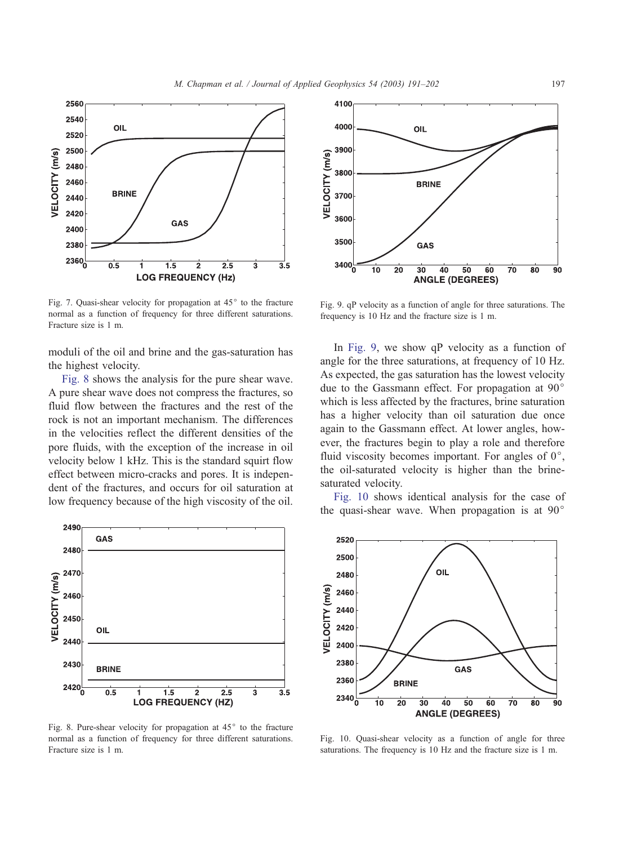<span id="page-6-0"></span>

Fig. 7. Quasi-shear velocity for propagation at  $45^{\circ}$  to the fracture normal as a function of frequency for three different saturations. Fracture size is 1 m.

moduli of the oil and brine and the gas-saturation has the highest velocity.

Fig. 8 shows the analysis for the pure shear wave. A pure shear wave does not compress the fractures, so fluid flow between the fractures and the rest of the rock is not an important mechanism. The differences in the velocities reflect the different densities of the pore fluids, with the exception of the increase in oil velocity below 1 kHz. This is the standard squirt flow effect between micro-cracks and pores. It is independent of the fractures, and occurs for oil saturation at low frequency because of the high viscosity of the oil.



Fig. 8. Pure-shear velocity for propagation at  $45^{\circ}$  to the fracture normal as a function of frequency for three different saturations. Fracture size is 1 m.



Fig. 9. qP velocity as a function of angle for three saturations. The frequency is 10 Hz and the fracture size is 1 m.

In Fig. 9, we show qP velocity as a function of angle for the three saturations, at frequency of 10 Hz. As expected, the gas saturation has the lowest velocity due to the Gassmann effect. For propagation at  $90^\circ$ which is less affected by the fractures, brine saturation has a higher velocity than oil saturation due once again to the Gassmann effect. At lower angles, however, the fractures begin to play a role and therefore fluid viscosity becomes important. For angles of  $0^\circ$ , the oil-saturated velocity is higher than the brinesaturated velocity.

Fig. 10 shows identical analysis for the case of the quasi-shear wave. When propagation is at  $90^\circ$ 



Fig. 10. Quasi-shear velocity as a function of angle for three saturations. The frequency is 10 Hz and the fracture size is 1 m.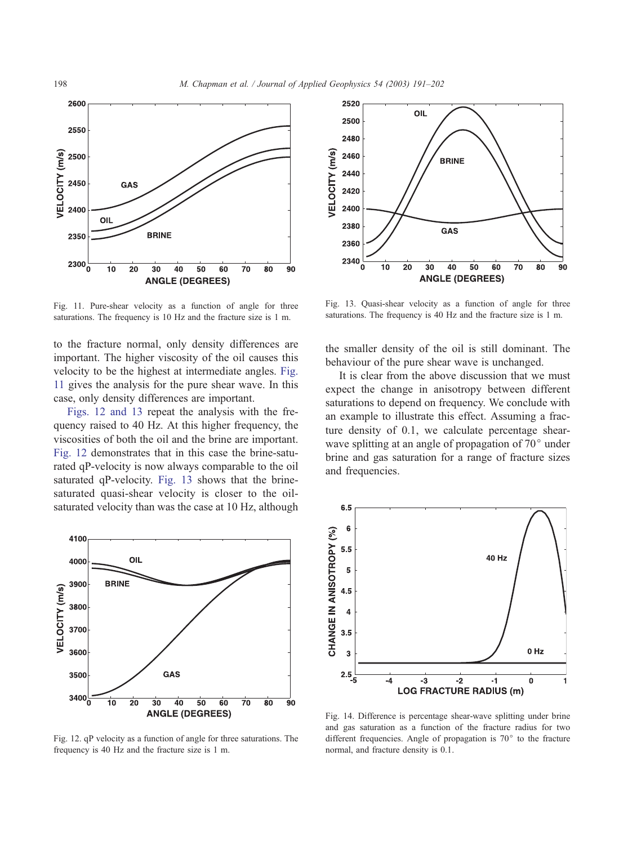<span id="page-7-0"></span>

Fig. 11. Pure-shear velocity as a function of angle for three saturations. The frequency is 10 Hz and the fracture size is 1 m.

to the fracture normal, only density differences are important. The higher viscosity of the oil causes this velocity to be the highest at intermediate angles. Fig. 11 gives the analysis for the pure shear wave. In this case, only density differences are important.

Figs. 12 and 13 repeat the analysis with the frequency raised to 40 Hz. At this higher frequency, the viscosities of both the oil and the brine are important. Fig. 12 demonstrates that in this case the brine-saturated qP-velocity is now always comparable to the oil saturated qP-velocity. Fig. 13 shows that the brinesaturated quasi-shear velocity is closer to the oilsaturated velocity than was the case at 10 Hz, although



Fig. 12. qP velocity as a function of angle for three saturations. The frequency is 40 Hz and the fracture size is 1 m.



Fig. 13. Quasi-shear velocity as a function of angle for three saturations. The frequency is 40 Hz and the fracture size is 1 m.

the smaller density of the oil is still dominant. The behaviour of the pure shear wave is unchanged.

It is clear from the above discussion that we must expect the change in anisotropy between different saturations to depend on frequency. We conclude with an example to illustrate this effect. Assuming a fracture density of 0.1, we calculate percentage shearwave splitting at an angle of propagation of  $70^{\circ}$  under brine and gas saturation for a range of fracture sizes and frequencies.



Fig. 14. Difference is percentage shear-wave splitting under brine and gas saturation as a function of the fracture radius for two different frequencies. Angle of propagation is  $70^{\circ}$  to the fracture normal, and fracture density is 0.1.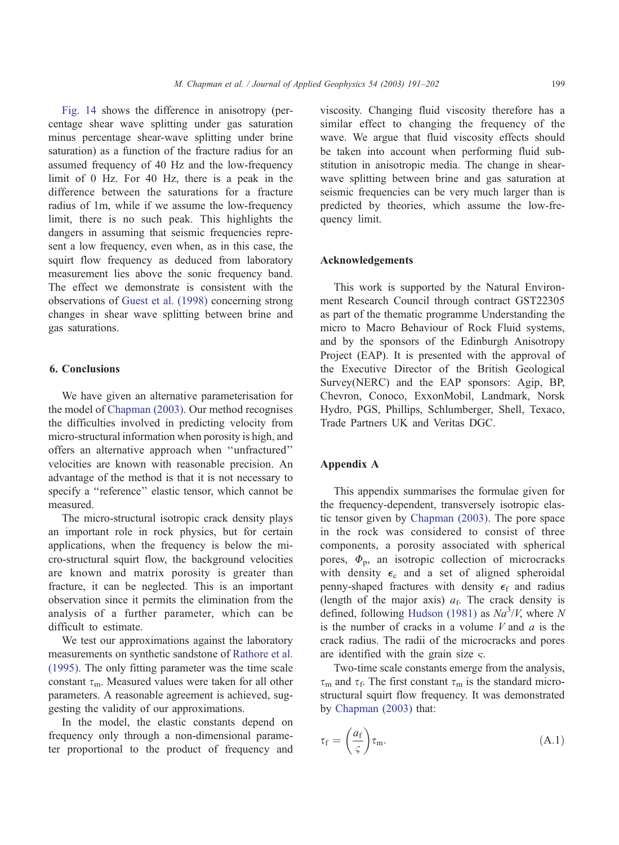[Fig. 14](#page-7-0) shows the difference in anisotropy (percentage shear wave splitting under gas saturation minus percentage shear-wave splitting under brine saturation) as a function of the fracture radius for an assumed frequency of 40 Hz and the low-frequency limit of 0 Hz. For 40 Hz, there is a peak in the difference between the saturations for a fracture radius of 1m, while if we assume the low-frequency limit, there is no such peak. This highlights the dangers in assuming that seismic frequencies represent a low frequency, even when, as in this case, the squirt flow frequency as deduced from laboratory measurement lies above the sonic frequency band. The effect we demonstrate is consistent with the observations of [Guest et al. \(1998\)](#page-11-0) concerning strong changes in shear wave splitting between brine and gas saturations.

## 6. Conclusions

We have given an alternative parameterisation for the model of [Chapman \(2003\).](#page-11-0) Our method recognises the difficulties involved in predicting velocity from micro-structural information when porosity is high, and offers an alternative approach when ''unfractured'' velocities are known with reasonable precision. An advantage of the method is that it is not necessary to specify a ''reference'' elastic tensor, which cannot be measured.

The micro-structural isotropic crack density plays an important role in rock physics, but for certain applications, when the frequency is below the micro-structural squirt flow, the background velocities are known and matrix porosity is greater than fracture, it can be neglected. This is an important observation since it permits the elimination from the analysis of a further parameter, which can be difficult to estimate.

We test our approximations against the laboratory measurements on synthetic sandstone of [Rathore et al.](#page-11-0) (1995). The only fitting parameter was the time scale constant  $\tau_{\rm m}$ . Measured values were taken for all other parameters. A reasonable agreement is achieved, suggesting the validity of our approximations.

In the model, the elastic constants depend on frequency only through a non-dimensional parameter proportional to the product of frequency and

viscosity. Changing fluid viscosity therefore has a similar effect to changing the frequency of the wave. We argue that fluid viscosity effects should be taken into account when performing fluid substitution in anisotropic media. The change in shearwave splitting between brine and gas saturation at seismic frequencies can be very much larger than is predicted by theories, which assume the low-frequency limit.

## Acknowledgements

This work is supported by the Natural Environment Research Council through contract GST22305 as part of the thematic programme Understanding the micro to Macro Behaviour of Rock Fluid systems, and by the sponsors of the Edinburgh Anisotropy Project (EAP). It is presented with the approval of the Executive Director of the British Geological Survey(NERC) and the EAP sponsors: Agip, BP, Chevron, Conoco, ExxonMobil, Landmark, Norsk Hydro, PGS, Phillips, Schlumberger, Shell, Texaco, Trade Partners UK and Veritas DGC.

## Appendix A

This appendix summarises the formulae given for the frequency-dependent, transversely isotropic elastic tensor given by [Chapman \(2003\).](#page-11-0) The pore space in the rock was considered to consist of three components, a porosity associated with spherical pores,  $\Phi_{\rm p}$ , an isotropic collection of microcracks with density  $\epsilon_c$  and a set of aligned spheroidal penny-shaped fractures with density  $\epsilon_f$  and radius (length of the major axis)  $a_f$ . The crack density is defined, following [Hudson \(1981\)](#page-11-0) as  $Na^{3}/V$ , where N is the number of cracks in a volume  $V$  and  $\alpha$  is the crack radius. The radii of the microcracks and pores are identified with the grain size  $\varsigma$ .

Two-time scale constants emerge from the analysis,  $\tau_{\rm m}$  and  $\tau_{\rm f}$ . The first constant  $\tau_{\rm m}$  is the standard microstructural squirt flow frequency. It was demonstrated by [Chapman \(2003\)](#page-11-0) that:

$$
\tau_{\rm f} = \left(\frac{a_{\rm f}}{\varsigma}\right) \tau_{\rm m}.\tag{A.1}
$$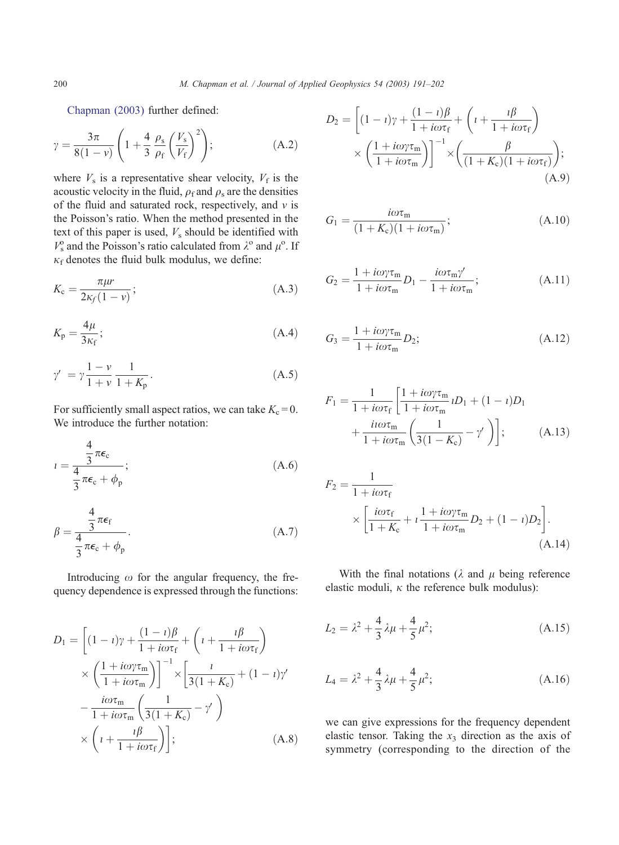[Chapman \(2003\)](#page-11-0) further defined:

$$
\gamma = \frac{3\pi}{8(1-\nu)} \left( 1 + \frac{4}{3} \frac{\rho_s}{\rho_f} \left( \frac{V_s}{V_f} \right)^2 \right); \tag{A.2}
$$

where  $V<sub>s</sub>$  is a representative shear velocity,  $V<sub>f</sub>$  is the acoustic velocity in the fluid,  $\rho_f$  and  $\rho_s$  are the densities of the fluid and saturated rock, respectively, and  $v$  is the Poisson's ratio. When the method presented in the text of this paper is used,  $V_s$  should be identified with  $V_s^{\text{o}}$  and the Poisson's ratio calculated from  $\lambda^{\text{o}}$  and  $\mu^{\text{o}}$ . If  $\kappa_f$  denotes the fluid bulk modulus, we define:

$$
K_{\rm c} = \frac{\pi \mu r}{2\kappa_f (1 - v)}; \tag{A.3}
$$

$$
K_{\rm p} = \frac{4\mu}{3\kappa_{\rm f}}; \tag{A.4}
$$

$$
\gamma' = \gamma \frac{1 - \nu}{1 + \nu} \frac{1}{1 + K_p}.
$$
\n(A.5)

For sufficiently small aspect ratios, we can take  $K_c = 0$ . We introduce the further notation:

$$
i = \frac{\frac{4}{3}\pi\epsilon_{c}}{\frac{4}{3}\pi\epsilon_{c} + \phi_{p}};
$$
\n(A.6)

$$
\beta = \frac{\frac{4}{3}\pi\epsilon_{\rm f}}{\frac{4}{3}\pi\epsilon_{\rm c} + \phi_{\rm p}}.\tag{A.7}
$$

Introducing  $\omega$  for the angular frequency, the frequency dependence is expressed through the functions:

$$
D_1 = \left[ (1 - i)\gamma + \frac{(1 - i)\beta}{1 + i\omega\tau_f} + \left( i + \frac{i\beta}{1 + i\omega\tau_f} \right) \right] \times \left( \frac{1 + i\omega\tau_m}{1 + i\omega\tau_m} \right)^{-1} \times \left[ \frac{i}{3(1 + K_c)} + (1 - i)\gamma' - \frac{i\omega\tau_m}{1 + i\omega\tau_m} \left( \frac{1}{3(1 + K_c)} - \gamma' \right) \right] \times \left( i + \frac{i\beta}{1 + i\omega\tau_f} \right); \tag{A.8}
$$

$$
D_2 = \left[ (1 - i)\gamma + \frac{(1 - i)\beta}{1 + i\omega\tau_f} + \left( i + \frac{i\beta}{1 + i\omega\tau_f} \right) \times \left( \frac{1 + i\omega\gamma\tau_m}{1 + i\omega\tau_m} \right) \right]^{-1} \times \left( \frac{\beta}{(1 + K_c)(1 + i\omega\tau_f)} \right);
$$
\n(A.9)

$$
G_1 = \frac{i\omega\tau_m}{(1 + K_c)(1 + i\omega\tau_m)};
$$
\n(A.10)

$$
G_2 = \frac{1 + i\omega\gamma\tau_m}{1 + i\omega\tau_m} D_1 - \frac{i\omega\tau_m\gamma'}{1 + i\omega\tau_m};
$$
\n(A.11)

$$
G_3 = \frac{1 + i\omega \gamma \tau_m}{1 + i\omega \tau_m} D_2;
$$
 (A.12)

$$
F_1 = \frac{1}{1 + i\omega\tau_f} \left[ \frac{1 + i\omega\gamma\tau_m}{1 + i\omega\tau_m} iD_1 + (1 - i)D_1 + \frac{i\omega\tau_m}{1 + i\omega\tau_m} \left( \frac{1}{3(1 - K_c)} - \gamma' \right) \right];
$$
 (A.13)

$$
F_2 = \frac{1}{1 + i\omega\tau_f}
$$
  
 
$$
\times \left[ \frac{i\omega\tau_f}{1 + K_c} + i \frac{1 + i\omega\gamma\tau_m}{1 + i\omega\tau_m} D_2 + (1 - i)D_2 \right].
$$
  
(A.14)

With the final notations ( $\lambda$  and  $\mu$  being reference elastic moduli,  $\kappa$  the reference bulk modulus):

$$
L_2 = \lambda^2 + \frac{4}{3}\lambda\mu + \frac{4}{5}\mu^2; \tag{A.15}
$$

$$
L_4 = \lambda^2 + \frac{4}{3}\lambda\mu + \frac{4}{5}\mu^2;
$$
 (A.16)

we can give expressions for the frequency dependent elastic tensor. Taking the  $x_3$  direction as the axis of symmetry (corresponding to the direction of the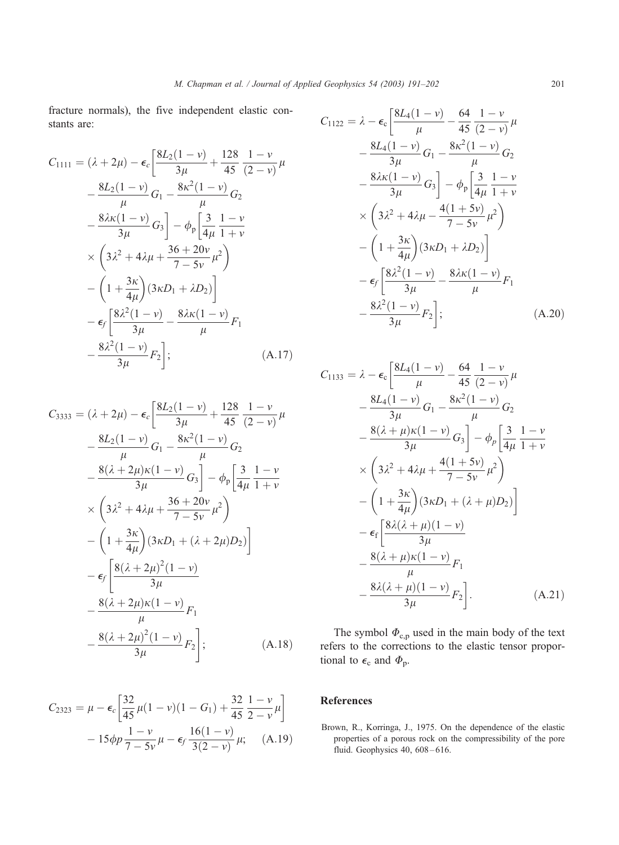<span id="page-10-0"></span>fracture normals), the five independent elastic constants are:

$$
C_{1111} = (\lambda + 2\mu) - \epsilon_c \left[ \frac{8L_2(1 - \nu)}{3\mu} + \frac{128}{45} \frac{1 - \nu}{(2 - \nu)} \mu \right.- \frac{8L_2(1 - \nu)}{\mu} G_1 - \frac{8\kappa^2(1 - \nu)}{\mu} G_2 - \frac{8\lambda\kappa(1 - \nu)}{3\mu} G_3 \right] - \phi_p \left[ \frac{3}{4\mu} \frac{1 - \nu}{1 + \nu} \right.\times \left( 3\lambda^2 + 4\lambda\mu + \frac{36 + 20\nu}{7 - 5\nu} \mu^2 \right)- \left( 1 + \frac{3\kappa}{4\mu} \right) (3\kappa D_1 + \lambda D_2) \Big] - \epsilon_f \left[ \frac{8\lambda^2(1 - \nu)}{3\mu} - \frac{8\lambda\kappa(1 - \nu)}{\mu} F_1 \right.- \frac{8\lambda^2(1 - \nu)}{3\mu} F_2 \Big]; \tag{A.17}
$$

$$
C_{3333} = (\lambda + 2\mu) - \epsilon_c \left[ \frac{8L_2(1 - \nu)}{3\mu} + \frac{128}{45} \frac{1 - \nu}{(2 - \nu)} \mu \right.- \frac{8L_2(1 - \nu)}{\mu} G_1 - \frac{8\kappa^2(1 - \nu)}{\mu} G_2 - \frac{8(\lambda + 2\mu)\kappa(1 - \nu)}{3\mu} G_3 \right] - \phi_p \left[ \frac{3}{4\mu} \frac{1 - \nu}{1 + \nu} \right.\times \left( 3\lambda^2 + 4\lambda\mu + \frac{36 + 20\nu}{7 - 5\nu} \mu^2 \right)- \left( 1 + \frac{3\kappa}{4\mu} \right) (3\kappa D_1 + (\lambda + 2\mu) D_2) \right]- \epsilon_f \left[ \frac{8(\lambda + 2\mu)^2(1 - \nu)}{3\mu} - \frac{8(\lambda + 2\mu)\kappa(1 - \nu)}{\mu} F_1 \right.- \frac{8(\lambda + 2\mu)^2(1 - \nu)}{3\mu} F_2 \right]; \qquad (A.18)
$$

$$
C_{2323} = \mu - \epsilon_c \left[ \frac{32}{45} \mu (1 - v)(1 - G_1) + \frac{32}{45} \frac{1 - v}{2 - v} \mu \right] - 15 \phi p \frac{1 - v}{7 - 5v} \mu - \epsilon_f \frac{16(1 - v)}{3(2 - v)} \mu; \quad (A.19)
$$

$$
C_{1122} = \lambda - \epsilon_{c} \left[ \frac{8L_{4}(1-\nu)}{\mu} - \frac{64}{45} \frac{1-\nu}{(2-\nu)} \mu \right.
$$
  
\n
$$
- \frac{8L_{4}(1-\nu)}{3\mu} G_{1} - \frac{8\kappa^{2}(1-\nu)}{\mu} G_{2}
$$
  
\n
$$
- \frac{8\lambda\kappa(1-\nu)}{3\mu} G_{3} \right] - \phi_{p} \left[ \frac{3}{4\mu} \frac{1-\nu}{1+\nu} \right.
$$
  
\n
$$
\times \left( 3\lambda^{2} + 4\lambda\mu - \frac{4(1+5\nu)}{7-5\nu} \mu^{2} \right)
$$
  
\n
$$
- \left( 1 + \frac{3\kappa}{4\mu} \right) (3\kappa D_{1} + \lambda D_{2}) \right]
$$
  
\n
$$
- \epsilon_{f} \left[ \frac{8\lambda^{2}(1-\nu)}{3\mu} - \frac{8\lambda\kappa(1-\nu)}{\mu} F_{1} \right.
$$
  
\n
$$
- \frac{8\lambda^{2}(1-\nu)}{3\mu} F_{2} \right];
$$
 (A.20)

$$
C_{1133} = \lambda - \epsilon_{c} \left[ \frac{8L_{4}(1-\nu)}{\mu} - \frac{64}{45} \frac{1-\nu}{(2-\nu)} \mu \right.
$$
  
\n
$$
- \frac{8L_{4}(1-\nu)}{3\mu} G_{1} - \frac{8\kappa^{2}(1-\nu)}{\mu} G_{2}
$$
  
\n
$$
- \frac{8(\lambda+\mu)\kappa(1-\nu)}{3\mu} G_{3} \right] - \phi_{p} \left[ \frac{3}{4\mu} \frac{1-\nu}{1+\nu} \right.
$$
  
\n
$$
\times \left( 3\lambda^{2} + 4\lambda\mu + \frac{4(1+5\nu)}{7-5\nu} \mu^{2} \right)
$$
  
\n
$$
- \left( 1 + \frac{3\kappa}{4\mu} \right) (3\kappa D_{1} + (\lambda + \mu) D_{2}) \right]
$$
  
\n
$$
- \epsilon_{f} \left[ \frac{8\lambda(\lambda+\mu)(1-\nu)}{3\mu} F_{1} \right]
$$
  
\n
$$
- \frac{8(\lambda+\mu)\kappa(1-\nu)}{\mu} F_{1} \right]. \tag{A.21}
$$

The symbol  $\Phi_{c,p}$  used in the main body of the text refers to the corrections to the elastic tensor proportional to  $\epsilon_c$  and  $\Phi_p$ .

# References

Brown, R., Korringa, J., 1975. On the dependence of the elastic properties of a porous rock on the compressibility of the pore fluid. Geophysics 40, 608 – 616.